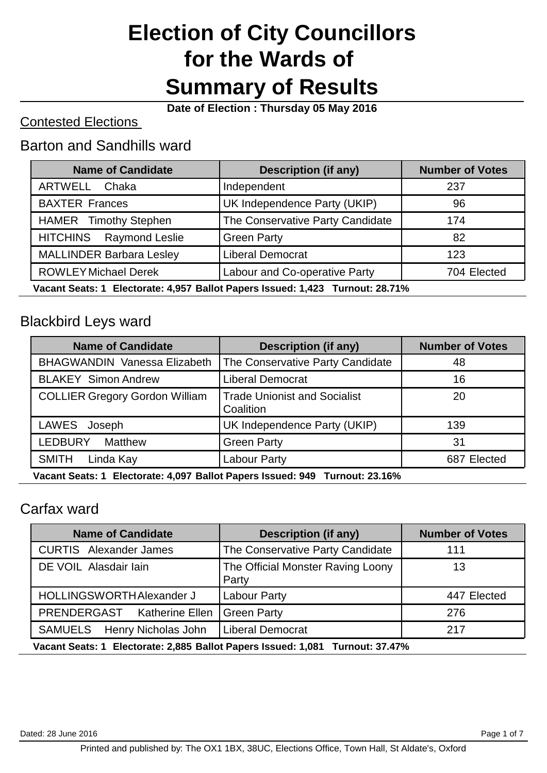# **Election of City Councillors for the Wards of Summary of Results**

**Date of Election : Thursday 05 May 2016**

### Contested Elections

### Barton and Sandhills ward

| <b>Name of Candidate</b>                                                      | <b>Description (if any)</b>      | <b>Number of Votes</b> |
|-------------------------------------------------------------------------------|----------------------------------|------------------------|
| ARTWELL<br>Chaka                                                              | Independent                      | 237                    |
| <b>BAXTER Frances</b>                                                         | UK Independence Party (UKIP)     | 96                     |
| <b>HAMER</b> Timothy Stephen                                                  | The Conservative Party Candidate | 174                    |
| HITCHINS Raymond Leslie                                                       | <b>Green Party</b>               | 82                     |
| <b>MALLINDER Barbara Lesley</b>                                               | <b>Liberal Democrat</b>          | 123                    |
| <b>ROWLEY Michael Derek</b>                                                   | Labour and Co-operative Party    | 704 Elected            |
| Vacant Seats: 1 Electorate: 4,957 Ballot Papers Issued: 1,423 Turnout: 28.71% |                                  |                        |

# Blackbird Leys ward

| <b>Name of Candidate</b>                                                    | <b>Description (if any)</b>                      | <b>Number of Votes</b> |
|-----------------------------------------------------------------------------|--------------------------------------------------|------------------------|
| <b>BHAGWANDIN Vanessa Elizabeth</b>                                         | The Conservative Party Candidate                 | 48                     |
| <b>BLAKEY Simon Andrew</b>                                                  | <b>Liberal Democrat</b>                          | 16                     |
| <b>COLLIER Gregory Gordon William</b>                                       | <b>Trade Unionist and Socialist</b><br>Coalition | 20                     |
| LAWES Joseph                                                                | UK Independence Party (UKIP)                     | 139                    |
| <b>LEDBURY</b><br><b>Matthew</b>                                            | <b>Green Party</b>                               | 31                     |
| <b>SMITH</b><br>Linda Kay                                                   | Labour Party                                     | 687 Elected            |
| Vacant Soate: 1 Electorate: 4.007 Ballet Danors Issued: 040 Turnout: 23.16% |                                                  |                        |

**Vacant Seats: 1 Electorate: 4,097 Ballot Papers Issued: 949 Turnout: 23.16%**

### Carfax ward

| <b>Name of Candidate</b>                                                      | <b>Description (if any)</b>                | <b>Number of Votes</b> |
|-------------------------------------------------------------------------------|--------------------------------------------|------------------------|
| <b>CURTIS</b> Alexander James                                                 | The Conservative Party Candidate           | 111                    |
| DE VOIL Alasdair Iain                                                         | The Official Monster Raving Loony<br>Party | 13                     |
| HOLLINGSWORTH Alexander J                                                     | Labour Party                               | 447 Elected            |
| PRENDERGAST Katherine Ellen                                                   | <b>Green Party</b>                         | 276                    |
| SAMUELS Henry Nicholas John                                                   | <b>Liberal Democrat</b>                    | 217                    |
| Vacant Seats: 1 Electorate: 2,885 Ballot Papers Issued: 1,081 Turnout: 37.47% |                                            |                        |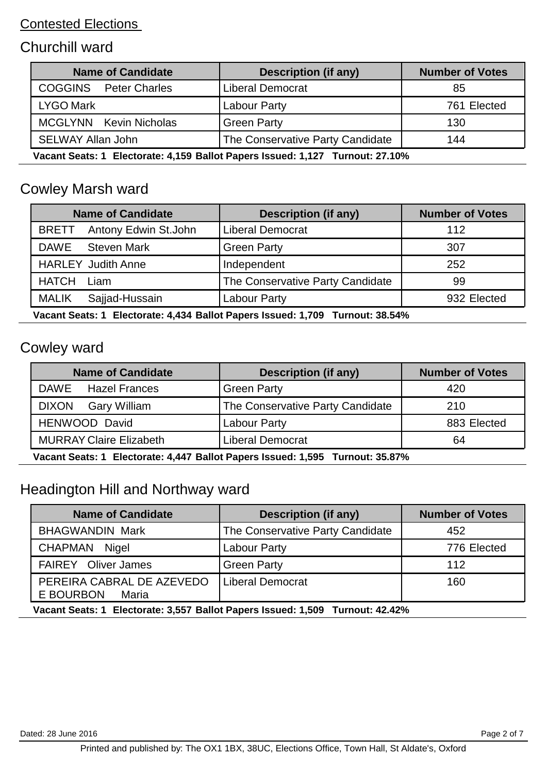# Churchill ward

| <b>Name of Candidate</b>                                                      | <b>Description (if any)</b>      | <b>Number of Votes</b> |
|-------------------------------------------------------------------------------|----------------------------------|------------------------|
| <b>COGGINS</b> Peter Charles                                                  | <b>Liberal Democrat</b>          | 85                     |
| <b>LYGO Mark</b>                                                              | Labour Party                     | 761 Elected            |
| <b>MCGLYNN</b> Kevin Nicholas                                                 | <b>Green Party</b>               | 130                    |
| <b>SELWAY Allan John</b>                                                      | The Conservative Party Candidate | 144                    |
| Vacant Seats: 1 Electorate: 4,159 Ballot Papers Issued: 1,127 Turnout: 27.10% |                                  |                        |

# Cowley Marsh ward

| <b>Name of Candidate</b>             | <b>Description (if any)</b>      | <b>Number of Votes</b> |
|--------------------------------------|----------------------------------|------------------------|
| Antony Edwin St.John<br><b>BRETT</b> | <b>Liberal Democrat</b>          | 112                    |
| <b>DAWE</b><br><b>Steven Mark</b>    | <b>Green Party</b>               | 307                    |
| <b>HARLEY Judith Anne</b>            | Independent                      | 252                    |
| <b>HATCH</b><br>Liam                 | The Conservative Party Candidate | 99                     |
| <b>MALIK</b><br>Sajjad-Hussain       | Labour Party                     | 932 Elected            |

**Vacant Seats: 1 Electorate: 4,434 Ballot Papers Issued: 1,709 Turnout: 38.54%**

# Cowley ward

| <b>Name of Candidate</b>                                                      | <b>Description (if any)</b>      | <b>Number of Votes</b> |
|-------------------------------------------------------------------------------|----------------------------------|------------------------|
| DAWE Hazel Frances                                                            | <b>Green Party</b>               | 420                    |
| <b>DIXON</b><br><b>Gary William</b>                                           | The Conservative Party Candidate | 210                    |
| HENWOOD David                                                                 | Labour Party                     | 883 Elected            |
| <b>MURRAY Claire Elizabeth</b>                                                | <b>Liberal Democrat</b>          | 64                     |
| Vacant Seats: 1 Electorate: 4,447 Ballot Papers Issued: 1,595 Turnout: 35.87% |                                  |                        |

# Headington Hill and Northway ward

| <b>Name of Candidate</b>                                                      | <b>Description (if any)</b>      | <b>Number of Votes</b> |
|-------------------------------------------------------------------------------|----------------------------------|------------------------|
| <b>BHAGWANDIN Mark</b>                                                        | The Conservative Party Candidate | 452                    |
| CHAPMAN Nigel                                                                 | <b>Labour Party</b>              | 776 Elected            |
| <b>FAIREY</b> Oliver James                                                    | <b>Green Party</b>               | 112                    |
| PEREIRA CABRAL DE AZEVEDO<br>E BOURBON<br>Maria                               | Liberal Democrat                 | 160                    |
| Vacant Seats: 1 Electorate: 3,557 Ballot Papers Issued: 1,509 Turnout: 42.42% |                                  |                        |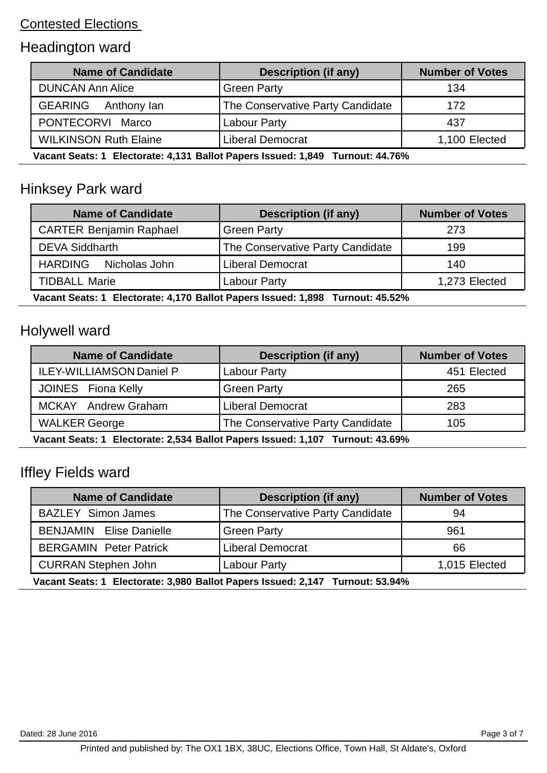# Headington ward

| <b>Name of Candidate</b>                                                      | <b>Description (if any)</b>      | <b>Number of Votes</b> |
|-------------------------------------------------------------------------------|----------------------------------|------------------------|
| <b>DUNCAN Ann Alice</b>                                                       | <b>Green Party</b>               | 134                    |
| <b>GEARING</b><br>Anthony lan                                                 | The Conservative Party Candidate | 172                    |
| PONTECORVI Marco                                                              | Labour Party                     | 437                    |
| <b>WILKINSON Ruth Elaine</b>                                                  | <b>Liberal Democrat</b>          | 1,100 Elected          |
| Vacant Seats: 1 Electorate: 4,131 Ballot Papers Issued: 1,849 Turnout: 44.76% |                                  |                        |

# Hinksey Park ward

| <b>Name of Candidate</b>        | <b>Description (if any)</b>      | <b>Number of Votes</b> |
|---------------------------------|----------------------------------|------------------------|
| <b>CARTER Benjamin Raphael</b>  | <b>Green Party</b>               | 273                    |
| <b>DEVA Siddharth</b>           | The Conservative Party Candidate | 199                    |
| <b>HARDING</b><br>Nicholas John | <b>Liberal Democrat</b>          | 140                    |
| <b>TIDBALL Marie</b>            | <b>Labour Party</b>              | 1,273 Elected          |

**Vacant Seats: 1 Electorate: 4,170 Ballot Papers Issued: 1,898 Turnout: 45.52%**

# Holywell ward

| <b>Name of Candidate</b>                                                      | Description (if any)             | <b>Number of Votes</b> |
|-------------------------------------------------------------------------------|----------------------------------|------------------------|
| <b>ILEY-WILLIAMSON Daniel P</b>                                               | Labour Party                     | 451 Elected            |
| JOINES Fiona Kelly                                                            | <b>Green Party</b>               | 265                    |
| MCKAY Andrew Graham                                                           | <b>Liberal Democrat</b>          | 283                    |
| <b>WALKER George</b>                                                          | The Conservative Party Candidate | 105                    |
| Vacant Soate: 1 Electorato: 2.524 Ballot Danore Issued: 1.107 Turnout: 43.60% |                                  |                        |

**Vacant Seats: 1 Electorate: 2,534 Ballot Papers Issued: 1,107 Turnout: 43.69%**

# Iffley Fields ward

| <b>Name of Candidate</b>                                                      | <b>Description (if any)</b>      | <b>Number of Votes</b> |
|-------------------------------------------------------------------------------|----------------------------------|------------------------|
| <b>BAZLEY Simon James</b>                                                     | The Conservative Party Candidate | 94                     |
| <b>BENJAMIN</b> Elise Danielle                                                | <b>Green Party</b>               | 961                    |
| <b>BERGAMIN Peter Patrick</b>                                                 | <b>Liberal Democrat</b>          | 66                     |
| <b>CURRAN Stephen John</b>                                                    | <b>Labour Party</b>              | 1,015 Elected          |
| Vacant Seats: 1 Electorate: 3,980 Ballot Papers Issued: 2,147 Turnout: 53.94% |                                  |                        |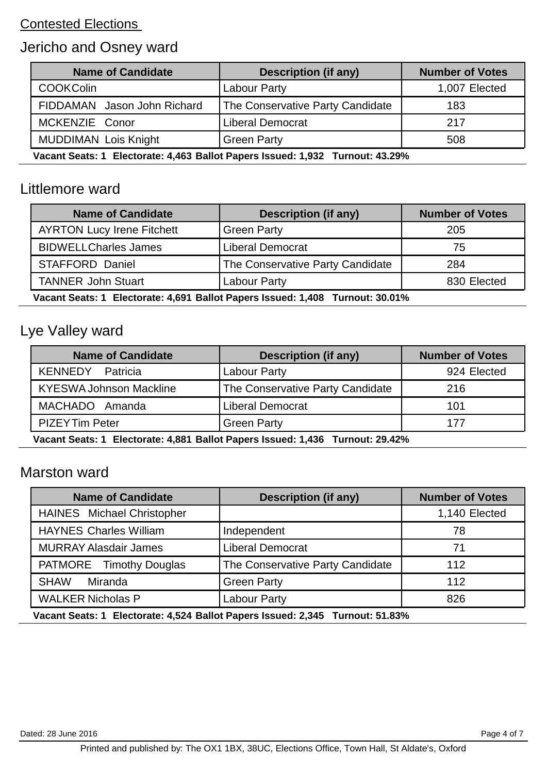# Jericho and Osney ward

| <b>Name of Candidate</b>                                                      | Description (if any)             | <b>Number of Votes</b> |
|-------------------------------------------------------------------------------|----------------------------------|------------------------|
| <b>COOKColin</b>                                                              | Labour Party                     | 1,007 Elected          |
| FIDDAMAN Jason John Richard                                                   | The Conservative Party Candidate | 183                    |
| MCKENZIE Conor                                                                | <b>Liberal Democrat</b>          | 217                    |
| <b>MUDDIMAN Lois Knight</b>                                                   | <b>Green Party</b>               | 508                    |
| Vacant Seats: 1 Electorate: 4,463 Ballot Papers Issued: 1,932 Turnout: 43.29% |                                  |                        |

#### Littlemore ward

| <b>Name of Candidate</b>          | <b>Description (if any)</b>      | <b>Number of Votes</b> |
|-----------------------------------|----------------------------------|------------------------|
| <b>AYRTON Lucy Irene Fitchett</b> | <b>Green Party</b>               | 205                    |
| <b>BIDWELLCharles James</b>       | <b>Liberal Democrat</b>          | 75                     |
| <b>STAFFORD Daniel</b>            | The Conservative Party Candidate | 284                    |
| <b>TANNER John Stuart</b>         | Labour Party                     | 830 Elected            |
|                                   |                                  |                        |

**Vacant Seats: 1 Electorate: 4,691 Ballot Papers Issued: 1,408 Turnout: 30.01%**

# Lye Valley ward

| <b>Name of Candidate</b>                                                      | <b>Description (if any)</b>      | <b>Number of Votes</b> |
|-------------------------------------------------------------------------------|----------------------------------|------------------------|
| <b>KENNEDY</b> Patricia                                                       | Labour Party                     | 924 Elected            |
| <b>KYESWA Johnson Mackline</b>                                                | The Conservative Party Candidate | 216                    |
| MACHADO Amanda                                                                | <b>Liberal Democrat</b>          | 101                    |
| <b>PIZEY Tim Peter</b>                                                        | <b>Green Party</b>               | 177                    |
| Vacant Soate: 1 Electorato: 1 881 Ballot Danore Issued: 1 126 Turnout: 20 12% |                                  |                        |

**Vacant Seats: 1 Electorate: 4,881 Ballot Papers Issued: 1,436 Turnout: 29.42%**

#### Marston ward

| <b>Name of Candidate</b>                                                      | <b>Description (if any)</b>      | <b>Number of Votes</b> |
|-------------------------------------------------------------------------------|----------------------------------|------------------------|
| <b>HAINES</b> Michael Christopher                                             |                                  | 1,140 Elected          |
| <b>HAYNES Charles William</b>                                                 | Independent                      | 78                     |
| <b>MURRAY Alasdair James</b>                                                  | <b>Liberal Democrat</b>          | 71                     |
| PATMORE Timothy Douglas                                                       | The Conservative Party Candidate | 112                    |
| <b>SHAW</b><br>Miranda                                                        | <b>Green Party</b>               | 112                    |
| <b>WALKER Nicholas P</b>                                                      | <b>Labour Party</b>              | 826                    |
| Vacant Seats: 1 Electorate: 4,524 Ballot Papers Issued: 2,345 Turnout: 51.83% |                                  |                        |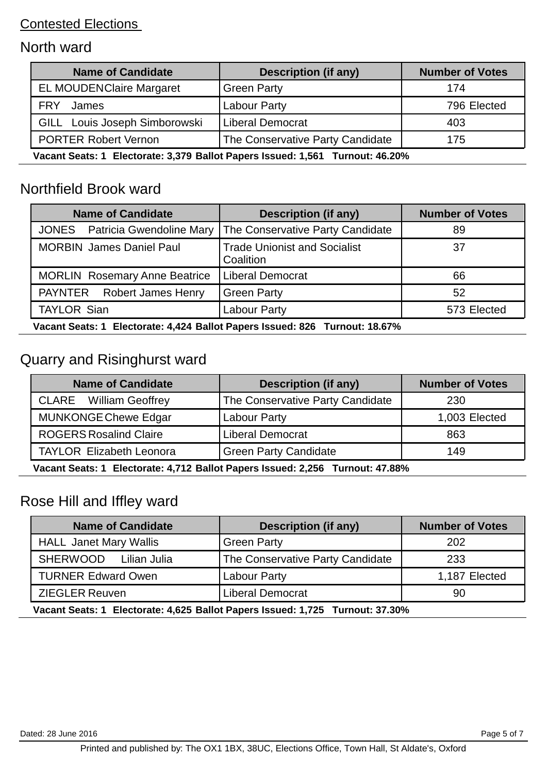# North ward

| <b>Name of Candidate</b>                                                      | <b>Description (if any)</b>      | <b>Number of Votes</b> |
|-------------------------------------------------------------------------------|----------------------------------|------------------------|
| <b>EL MOUDENClaire Margaret</b>                                               | <b>Green Party</b>               | 174                    |
| <b>FRY</b><br>James                                                           | Labour Party                     | 796 Elected            |
| GILL Louis Joseph Simborowski                                                 | <b>Liberal Democrat</b>          | 403                    |
| <b>PORTER Robert Vernon</b>                                                   | The Conservative Party Candidate | 175                    |
| Vacant Seats: 1 Electorate: 3,379 Ballot Papers Issued: 1,561 Turnout: 46.20% |                                  |                        |

### Northfield Brook ward

| <b>Name of Candidate</b>                                                        | <b>Description (if any)</b>                      | <b>Number of Votes</b> |
|---------------------------------------------------------------------------------|--------------------------------------------------|------------------------|
| <b>JONES</b> Patricia Gwendoline Mary                                           | The Conservative Party Candidate                 | 89                     |
| <b>MORBIN James Daniel Paul</b>                                                 | <b>Trade Unionist and Socialist</b><br>Coalition | 37                     |
| <b>MORLIN</b> Rosemary Anne Beatrice                                            | <b>Liberal Democrat</b>                          | 66                     |
| PAYNTER Robert James Henry                                                      | <b>Green Party</b>                               | 52                     |
| <b>TAYLOR Sian</b>                                                              | <b>Labour Party</b>                              | 573 Elected            |
| Moneth Bankard, Flocksmin, J.JOJ, Ballat Bancard Joseph, 000, Trumpett, 40.070/ |                                                  |                        |

**Vacant Seats: 1 Electorate: 4,424 Ballot Papers Issued: 826 Turnout: 18.67%**

# Quarry and Risinghurst ward

| <b>Name of Candidate</b>                                                      | <b>Description (if any)</b>      | <b>Number of Votes</b> |
|-------------------------------------------------------------------------------|----------------------------------|------------------------|
| <b>CLARE</b> William Geoffrey                                                 | The Conservative Party Candidate | 230                    |
| <b>MUNKONGE Chewe Edgar</b>                                                   | Labour Party                     | 1,003 Elected          |
| <b>ROGERS Rosalind Claire</b>                                                 | <b>Liberal Democrat</b>          | 863                    |
| <b>TAYLOR Elizabeth Leonora</b>                                               | <b>Green Party Candidate</b>     | 149                    |
| Vacant Seats: 1 Electorate: 4,712 Ballot Papers Issued: 2,256 Turnout: 47.88% |                                  |                        |

# Rose Hill and Iffley ward

| <b>Name of Candidate</b>                                                      | <b>Description (if any)</b>      | <b>Number of Votes</b> |
|-------------------------------------------------------------------------------|----------------------------------|------------------------|
| <b>HALL Janet Mary Wallis</b>                                                 | <b>Green Party</b>               | 202                    |
| SHERWOOD Lilian Julia                                                         | The Conservative Party Candidate | 233                    |
| <b>TURNER Edward Owen</b>                                                     | Labour Party                     | 1,187 Elected          |
| <b>ZIEGLER Reuven</b>                                                         | <b>Liberal Democrat</b>          | 90                     |
| Vacant Seats: 1 Electorate: 4,625 Ballot Papers Issued: 1,725 Turnout: 37.30% |                                  |                        |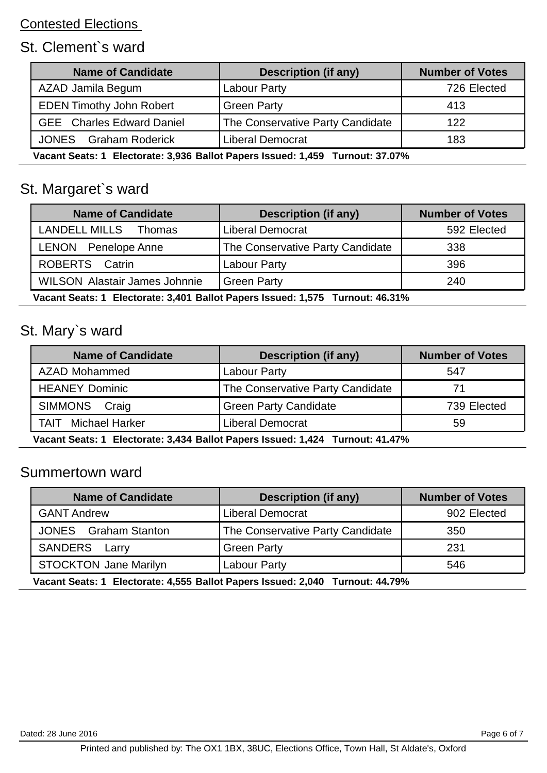# St. Clement`s ward

| <b>Name of Candidate</b>                                                      | <b>Description (if any)</b>      | <b>Number of Votes</b> |
|-------------------------------------------------------------------------------|----------------------------------|------------------------|
| AZAD Jamila Begum                                                             | Labour Party                     | 726 Elected            |
| <b>EDEN Timothy John Robert</b>                                               | <b>Green Party</b>               | 413                    |
| <b>GEE</b> Charles Edward Daniel                                              | The Conservative Party Candidate | 122                    |
| <b>JONES</b> Graham Roderick                                                  | <b>Liberal Democrat</b>          | 183                    |
| Vacant Seats: 1 Electorate: 3,936 Ballot Papers Issued: 1,459 Turnout: 37.07% |                                  |                        |

St. Margaret`s ward

| <b>Name of Candidate</b>             | <b>Description (if any)</b>      | <b>Number of Votes</b> |
|--------------------------------------|----------------------------------|------------------------|
| LANDELL MILLS Thomas                 | <b>Liberal Democrat</b>          | 592 Elected            |
| <b>LENON</b> Penelope Anne           | The Conservative Party Candidate | 338                    |
| ROBERTS Catrin                       | <b>Labour Party</b>              | 396                    |
| <b>WILSON Alastair James Johnnie</b> | <b>Green Party</b>               | 240                    |

**Vacant Seats: 1 Electorate: 3,401 Ballot Papers Issued: 1,575 Turnout: 46.31%**

# St. Mary`s ward

| <b>Name of Candidate</b>                                                         | <b>Description (if any)</b>      | <b>Number of Votes</b> |
|----------------------------------------------------------------------------------|----------------------------------|------------------------|
| AZAD Mohammed                                                                    | Labour Party                     | 547                    |
| <b>HEANEY Dominic</b>                                                            | The Conservative Party Candidate |                        |
| SIMMONS Craig                                                                    | <b>Green Party Candidate</b>     | 739 Elected            |
| <b>TAIT</b> Michael Harker                                                       | <b>Liberal Democrat</b>          | 59                     |
| Vacant Boate: 1. Electorate: 2.424 Ballet Baners Issued: 1.424. Turnout: 41.470/ |                                  |                        |

**Vacant Seats: 1 Electorate: 3,434 Ballot Papers Issued: 1,424 Turnout: 41.47%**

#### Summertown ward

| <b>Name of Candidate</b>                                                        | Description (if any)             | <b>Number of Votes</b> |
|---------------------------------------------------------------------------------|----------------------------------|------------------------|
| <b>GANT Andrew</b>                                                              | <b>Liberal Democrat</b>          | 902 Elected            |
| <b>JONES</b> Graham Stanton                                                     | The Conservative Party Candidate | 350                    |
| <b>SANDERS</b> Larry                                                            | <b>Green Party</b>               | 231                    |
| <b>STOCKTON Jane Marilyn</b>                                                    | Labour Party                     | 546                    |
| Vocant Contar 4. Electorator 4 EEE Dollot Danora Icaugdi 2040. Turnouti 44.700/ |                                  |                        |

**Vacant Seats: 1 Electorate: 4,555 Ballot Papers Issued: 2,040 Turnout: 44.79%**